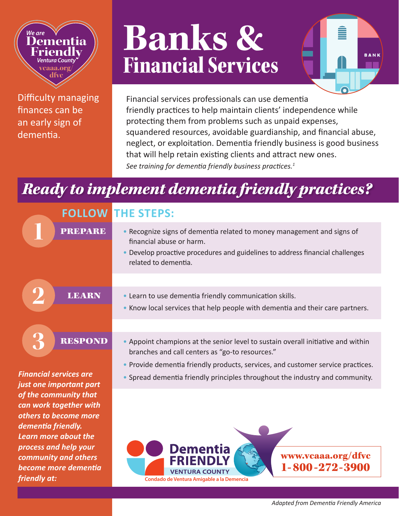### *We are* **Dementia Friendly** *Ventura County* **vcaaa.org/ dfvc**

Difficulty managing finances can be an early sign of dementia.

# **Banks &** Financial Services

BANI

Financial services professionals can use dementia friendly practices to help maintain clients' independence while protecting them from problems such as unpaid expenses, squandered resources, avoidable guardianship, and financial abuse, neglect, or exploitation. Dementia friendly business is good business that will help retain existing clients and attract new ones. *See training for dementia friendly business practices.<sup>1</sup>*

## *Ready to implement dementia friendly practices?*

|                                                                                                                                                        | <b>FOLLOW THE STEPS:</b>                                                                                                                                                                                    |
|--------------------------------------------------------------------------------------------------------------------------------------------------------|-------------------------------------------------------------------------------------------------------------------------------------------------------------------------------------------------------------|
| <b>PREPARE</b>                                                                                                                                         | • Recognize signs of dementia related to money management and signs of<br>financial abuse or harm.<br>• Develop proactive procedures and guidelines to address financial challenges<br>related to dementia. |
|                                                                                                                                                        |                                                                                                                                                                                                             |
| <b>LEARN</b>                                                                                                                                           | • Learn to use dementia friendly communication skills.<br>. Know local services that help people with dementia and their care partners.                                                                     |
|                                                                                                                                                        |                                                                                                                                                                                                             |
| <b>RESPOND</b>                                                                                                                                         | • Appoint champions at the senior level to sustain overall initiative and within<br>branches and call centers as "go-to resources."                                                                         |
|                                                                                                                                                        | . Provide dementia friendly products, services, and customer service practices.                                                                                                                             |
| <b>Financial services are</b><br>just one important part                                                                                               | • Spread dementia friendly principles throughout the industry and community.                                                                                                                                |
| of the community that<br>can work together with<br>others to become more<br>dementia friendly.<br><b>Learn more about the</b><br>process and help your | <b>Dementia</b>                                                                                                                                                                                             |
| community and others<br>become more dementia<br>friendly at:                                                                                           | www.vcaaa.org/dfvc<br>1-800-272-3900<br><b>VENTURA COUNTY</b><br>Condado de Ventura Amigable a la Demencia                                                                                                  |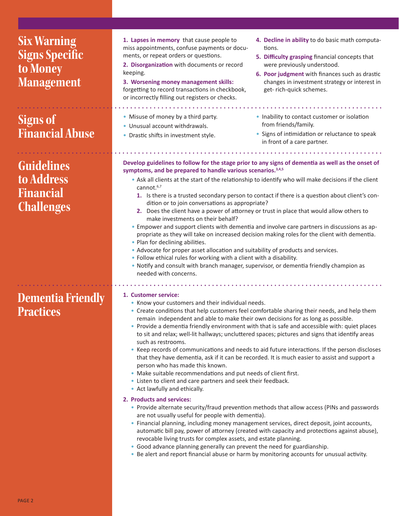| <b>Six Warning</b><br><b>Signs Specific</b><br>to Money<br><b>Management</b> | 1. Lapses in memory that cause people to<br>miss appointments, confuse payments or docu-<br>ments, or repeat orders or questions.<br>2. Disorganization with documents or record<br>keeping.<br>3. Worsening money management skills:<br>forgetting to record transactions in checkbook,<br>or incorrectly filling out registers or checks.                                                                                                                                                                                                                                                                                                                                                                                                                                                                                                                                                                                                                                                                                                                                                                  | 4. Decline in ability to do basic math computa-<br>tions.<br>5. Difficulty grasping financial concepts that<br>were previously understood.<br>6. Poor judgment with finances such as drastic<br>changes in investment strategy or interest in<br>get- rich-quick schemes.                                                                                                                                                                                                                                                                                                                                                                                                                                                                                                                       |
|------------------------------------------------------------------------------|--------------------------------------------------------------------------------------------------------------------------------------------------------------------------------------------------------------------------------------------------------------------------------------------------------------------------------------------------------------------------------------------------------------------------------------------------------------------------------------------------------------------------------------------------------------------------------------------------------------------------------------------------------------------------------------------------------------------------------------------------------------------------------------------------------------------------------------------------------------------------------------------------------------------------------------------------------------------------------------------------------------------------------------------------------------------------------------------------------------|-------------------------------------------------------------------------------------------------------------------------------------------------------------------------------------------------------------------------------------------------------------------------------------------------------------------------------------------------------------------------------------------------------------------------------------------------------------------------------------------------------------------------------------------------------------------------------------------------------------------------------------------------------------------------------------------------------------------------------------------------------------------------------------------------|
| <b>Signs of</b><br><b>Financial Abuse</b>                                    | • Misuse of money by a third party.<br>• Unusual account withdrawals.<br>• Drastic shifts in investment style.                                                                                                                                                                                                                                                                                                                                                                                                                                                                                                                                                                                                                                                                                                                                                                                                                                                                                                                                                                                               | • Inability to contact customer or isolation<br>from friends/family.<br>• Signs of intimidation or reluctance to speak<br>in front of a care partner.                                                                                                                                                                                                                                                                                                                                                                                                                                                                                                                                                                                                                                           |
| <b>Guidelines</b><br>to Address<br><b>Financial</b><br><b>Challenges</b>     | Develop guidelines to follow for the stage prior to any signs of dementia as well as the onset of<br>symptoms, and be prepared to handle various scenarios. <sup>3,4,5</sup><br>. Ask all clients at the start of the relationship to identify who will make decisions if the client<br>cannot. $6,7$<br>1. Is there is a trusted secondary person to contact if there is a question about client's con-<br>dition or to join conversations as appropriate?<br>2. Does the client have a power of attorney or trust in place that would allow others to<br>make investments on their behalf?<br>• Empower and support clients with dementia and involve care partners in discussions as ap-<br>propriate as they will take on increased decision making roles for the client with dementia.<br>• Plan for declining abilities.<br>• Advocate for proper asset allocation and suitability of products and services.<br>• Follow ethical rules for working with a client with a disability.<br>. Notify and consult with branch manager, supervisor, or dementia friendly champion as<br>needed with concerns. |                                                                                                                                                                                                                                                                                                                                                                                                                                                                                                                                                                                                                                                                                                                                                                                                 |
| <b>Dementia Friendly</b><br><b>Practices</b>                                 | 1. Customer service:<br>• Know your customers and their individual needs.<br>remain independent and able to make their own decisions for as long as possible.<br>such as restrooms.<br>person who has made this known.<br>• Make suitable recommendations and put needs of client first.<br>• Listen to client and care partners and seek their feedback.<br>• Act lawfully and ethically.<br>2. Products and services:<br>are not usually useful for people with dementia).<br>revocable living trusts for complex assets, and estate planning.<br>• Good advance planning generally can prevent the need for guardianship.<br>• Be alert and report financial abuse or harm by monitoring accounts for unusual activity.                                                                                                                                                                                                                                                                                                                                                                                   | • Create conditions that help customers feel comfortable sharing their needs, and help them<br>• Provide a dementia friendly environment with that is safe and accessible with: quiet places<br>to sit and relax; well-lit hallways; uncluttered spaces; pictures and signs that identify areas<br>• Keep records of communications and needs to aid future interactions. If the person discloses<br>that they have dementia, ask if it can be recorded. It is much easier to assist and support a<br>• Provide alternate security/fraud prevention methods that allow access (PINs and passwords<br>• Financial planning, including money management services, direct deposit, joint accounts,<br>automatic bill pay, power of attorney (created with capacity and protections against abuse), |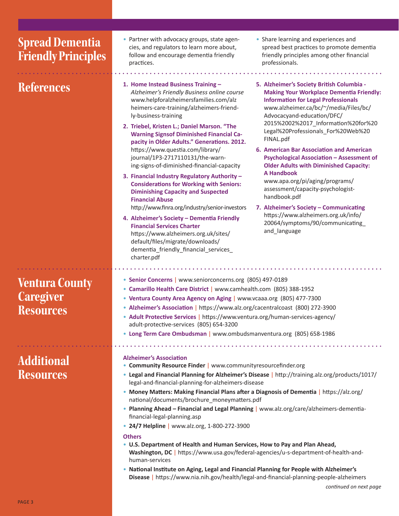| <b>Spread Dementia</b><br><b>Friendly Principles</b>   | • Partner with advocacy groups, state agen-<br>• Share learning and experiences and<br>cies, and regulators to learn more about,<br>spread best practices to promote dementia<br>follow and encourage dementia friendly<br>friendly principles among other financial<br>professionals.<br>practices.                                                                                                                                                                                                                                                                                                                                                                                                                                                                                                                                                                                                                                                                                                                                                                                                                                                                                                                                                                                                                                                                                                                                                                                                                                                                                                                                |  |
|--------------------------------------------------------|-------------------------------------------------------------------------------------------------------------------------------------------------------------------------------------------------------------------------------------------------------------------------------------------------------------------------------------------------------------------------------------------------------------------------------------------------------------------------------------------------------------------------------------------------------------------------------------------------------------------------------------------------------------------------------------------------------------------------------------------------------------------------------------------------------------------------------------------------------------------------------------------------------------------------------------------------------------------------------------------------------------------------------------------------------------------------------------------------------------------------------------------------------------------------------------------------------------------------------------------------------------------------------------------------------------------------------------------------------------------------------------------------------------------------------------------------------------------------------------------------------------------------------------------------------------------------------------------------------------------------------------|--|
| <b>References</b>                                      | 1. Home Instead Business Training -<br>5. Alzheimer's Society British Columbia -<br>Alzheimer's Friendly Business online course<br><b>Making Your Workplace Dementia Friendly:</b><br>www.helpforalzheimersfamilies.com/alz<br><b>Information for Legal Professionals</b><br>www.alzheimer.ca/bc/~/media/Files/bc/<br>heimers-care-training/alzheimers-friend-<br>ly-business-training<br>Advocacyand-education/DFC/<br>2015%2002%2017_Information%20for%20<br>2. Triebel, Kristen L.; Daniel Marson. "The<br>Legal%20Professionals_For%20Web%20<br><b>Warning Signsof Diminished Financial Ca-</b><br>FINAL.pdf<br>pacity in Older Adults." Generations. 2012.<br>https://www.questia.com/library/<br>6. American Bar Association and American<br>journal/1P3-2717110131/the-warn-<br><b>Psychological Association - Assessment of</b><br>ing-signs-of-diminished-financial-capacity<br><b>Older Adults with Diminished Capacity:</b><br>A Handbook<br>3. Financial Industry Regulatory Authority -<br>www.apa.org/pi/aging/programs/<br><b>Considerations for Working with Seniors:</b><br>assessment/capacity-psychologist-<br><b>Diminishing Capacity and Suspected</b><br>handbook.pdf<br><b>Financial Abuse</b><br>http://www.finra.org/industry/senior-investors<br>7. Alzheimer's Society - Communicating<br>https://www.alzheimers.org.uk/info/<br>4. Alzheimer's Society - Dementia Friendly<br>20064/symptoms/90/communicating_<br><b>Financial Services Charter</b><br>and_language<br>https://www.alzheimers.org.uk/sites/<br>default/files/migrate/downloads/<br>dementia_friendly_financial_services_<br>charter.pdf |  |
| <b>Ventura County</b><br><b>Caregiver</b><br>Resources | • Senior Concerns   www.seniorconcerns.org (805) 497-0189<br>• Camarillo Health Care District   www.camhealth.com (805) 388-1952<br>• Ventura County Area Agency on Aging   www.vcaaa.org (805) 477-7300<br>• Alzheimer's Association   https://www.alz.org/cacentralcoast (800) 272-3900<br>• Adult Protective Services   https://www.ventura.org/human-services-agency/<br>adult-protective-services (805) 654-3200<br>• Long Term Care Ombudsman   www.ombudsmanventura.org (805) 658-1986                                                                                                                                                                                                                                                                                                                                                                                                                                                                                                                                                                                                                                                                                                                                                                                                                                                                                                                                                                                                                                                                                                                                       |  |
| <b>Additional</b><br><b>Resources</b>                  | <b>Alzheimer's Association</b><br>• Community Resource Finder   www.communityresourcefinder.org<br>• Legal and Financial Planning for Alzheimer's Disease   http://training.alz.org/products/1017/<br>legal-and-financial-planning-for-alzheimers-disease<br>• Money Matters: Making Financial Plans after a Diagnosis of Dementia   https://alz.org/<br>national/documents/brochure_moneymatters.pdf<br>• Planning Ahead - Financial and Legal Planning   www.alz.org/care/alzheimers-dementia-<br>financial-legal-planning.asp<br>• 24/7 Helpline   www.alz.org, 1-800-272-3900<br><b>Others</b><br>• U.S. Department of Health and Human Services, How to Pay and Plan Ahead,<br>Washington, DC   https://www.usa.gov/federal-agencies/u-s-department-of-health-and-<br>human-services<br>. National Institute on Aging, Legal and Financial Planning for People with Alzheimer's<br>Disease   https://www.nia.nih.gov/health/legal-and-financial-planning-people-alzheimers                                                                                                                                                                                                                                                                                                                                                                                                                                                                                                                                                                                                                                                     |  |